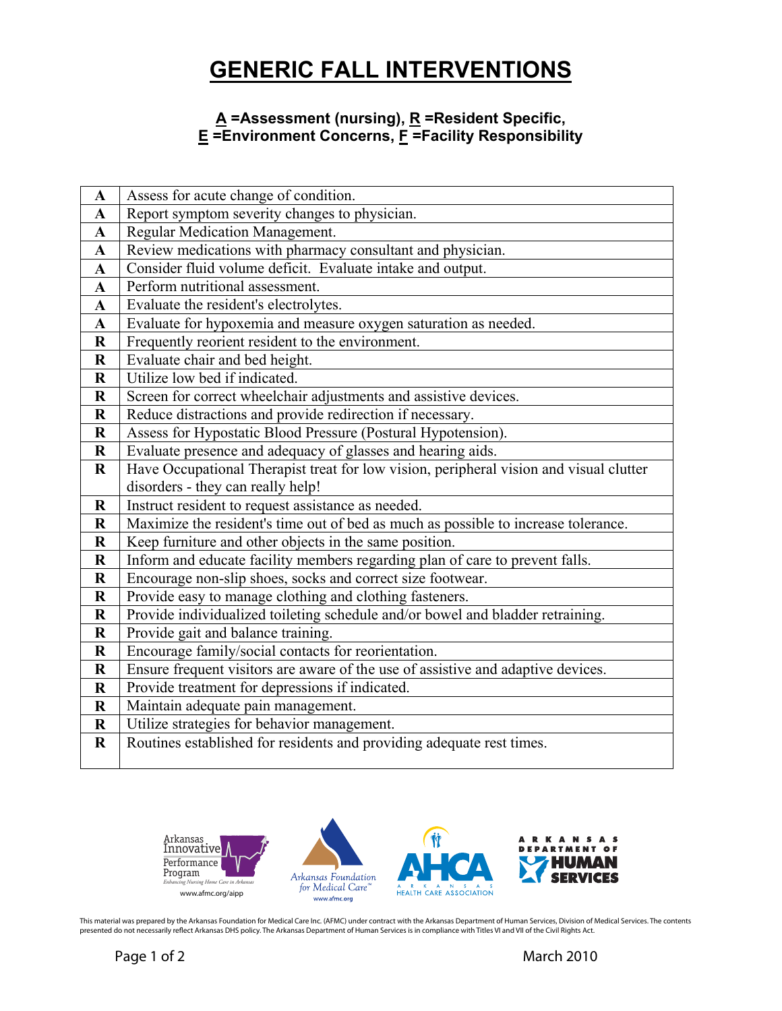## **GENERIC FALL INTERVENTIONS**

## **A =Assessment (nursing), R =Resident Specific, E =Environment Concerns, F =Facility Responsibility**

| $\mathbf A$  | Assess for acute change of condition.                                                  |
|--------------|----------------------------------------------------------------------------------------|
| $\mathbf{A}$ | Report symptom severity changes to physician.                                          |
| A            | Regular Medication Management.                                                         |
| ${\bf A}$    | Review medications with pharmacy consultant and physician.                             |
| $\mathbf{A}$ | Consider fluid volume deficit. Evaluate intake and output.                             |
| $\mathbf A$  | Perform nutritional assessment.                                                        |
| $\mathbf{A}$ | Evaluate the resident's electrolytes.                                                  |
| $\mathbf{A}$ | Evaluate for hypoxemia and measure oxygen saturation as needed.                        |
| $\bf R$      | Frequently reorient resident to the environment.                                       |
| $\mathbf R$  | Evaluate chair and bed height.                                                         |
| $\bf R$      | Utilize low bed if indicated.                                                          |
| $\bf R$      | Screen for correct wheelchair adjustments and assistive devices.                       |
| $\bf R$      | Reduce distractions and provide redirection if necessary.                              |
| $\bf R$      | Assess for Hypostatic Blood Pressure (Postural Hypotension).                           |
| $\bf R$      | Evaluate presence and adequacy of glasses and hearing aids.                            |
| $\bf R$      | Have Occupational Therapist treat for low vision, peripheral vision and visual clutter |
|              | disorders - they can really help!                                                      |
| $\bf R$      | Instruct resident to request assistance as needed.                                     |
| $\bf R$      | Maximize the resident's time out of bed as much as possible to increase tolerance.     |
| $\bf R$      | Keep furniture and other objects in the same position.                                 |
| $\bf R$      | Inform and educate facility members regarding plan of care to prevent falls.           |
| $\bf R$      | Encourage non-slip shoes, socks and correct size footwear.                             |
| $\mathbf R$  | Provide easy to manage clothing and clothing fasteners.                                |
| $\bf R$      | Provide individualized toileting schedule and/or bowel and bladder retraining.         |
| $\mathbf R$  | Provide gait and balance training.                                                     |
| $\bf R$      | Encourage family/social contacts for reorientation.                                    |
| $\bf R$      | Ensure frequent visitors are aware of the use of assistive and adaptive devices.       |
| $\mathbf R$  | Provide treatment for depressions if indicated.                                        |
| $\bf R$      | Maintain adequate pain management.                                                     |
| $\bf R$      | Utilize strategies for behavior management.                                            |
| $\bf R$      | Routines established for residents and providing adequate rest times.                  |
|              |                                                                                        |



This material was prepared by the Arkansas Foundation for Medical Care Inc. (AFMC) under contract with the Arkansas Department of Human Services, Division of Medical Services. The contents<br>presented do not necessarily refl